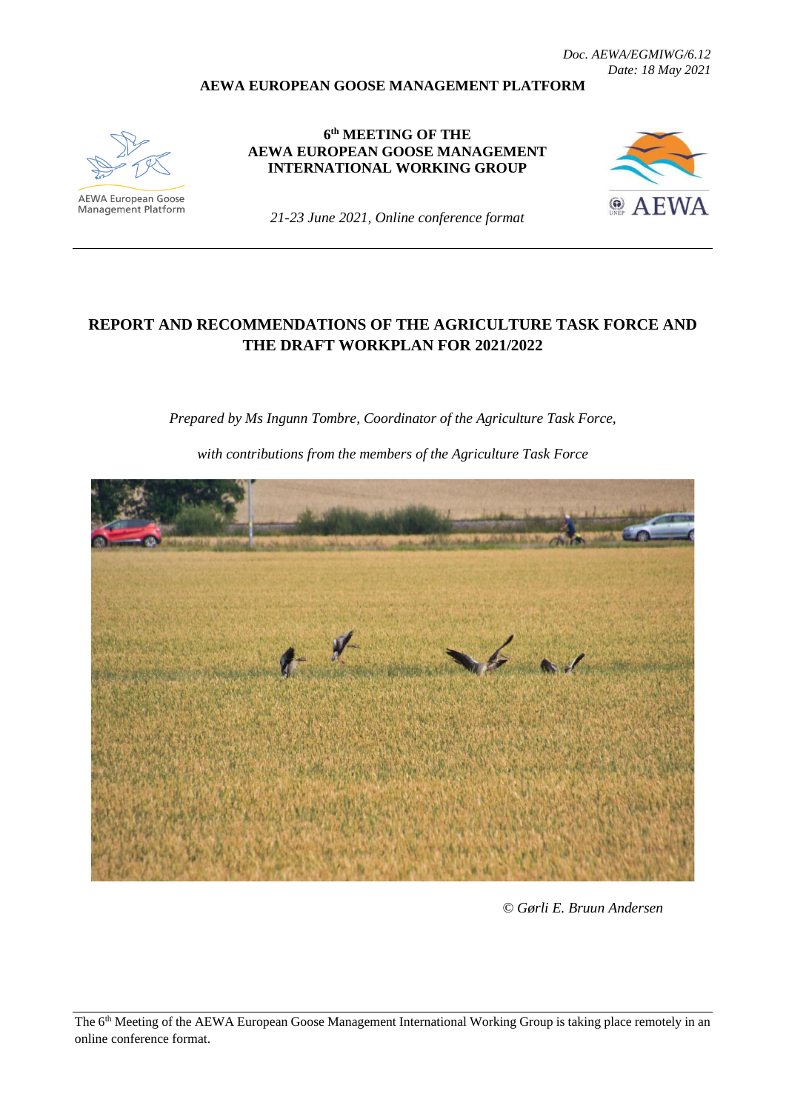#### **AEWA EUROPEAN GOOSE MANAGEMENT PLATFORM**



**6 th MEETING OF THE AEWA EUROPEAN GOOSE MANAGEMENT INTERNATIONAL WORKING GROUP**



*21-23 June 2021, Online conference format*

### **REPORT AND RECOMMENDATIONS OF THE AGRICULTURE TASK FORCE AND THE DRAFT WORKPLAN FOR 2021/2022**

*Prepared by Ms Ingunn Tombre, Coordinator of the Agriculture Task Force,* 

*with contributions from the members of the Agriculture Task Force*



*© Gørli E. Bruun Andersen*

The 6<sup>th</sup> Meeting of the AEWA European Goose Management International Working Group is taking place remotely in an online conference format.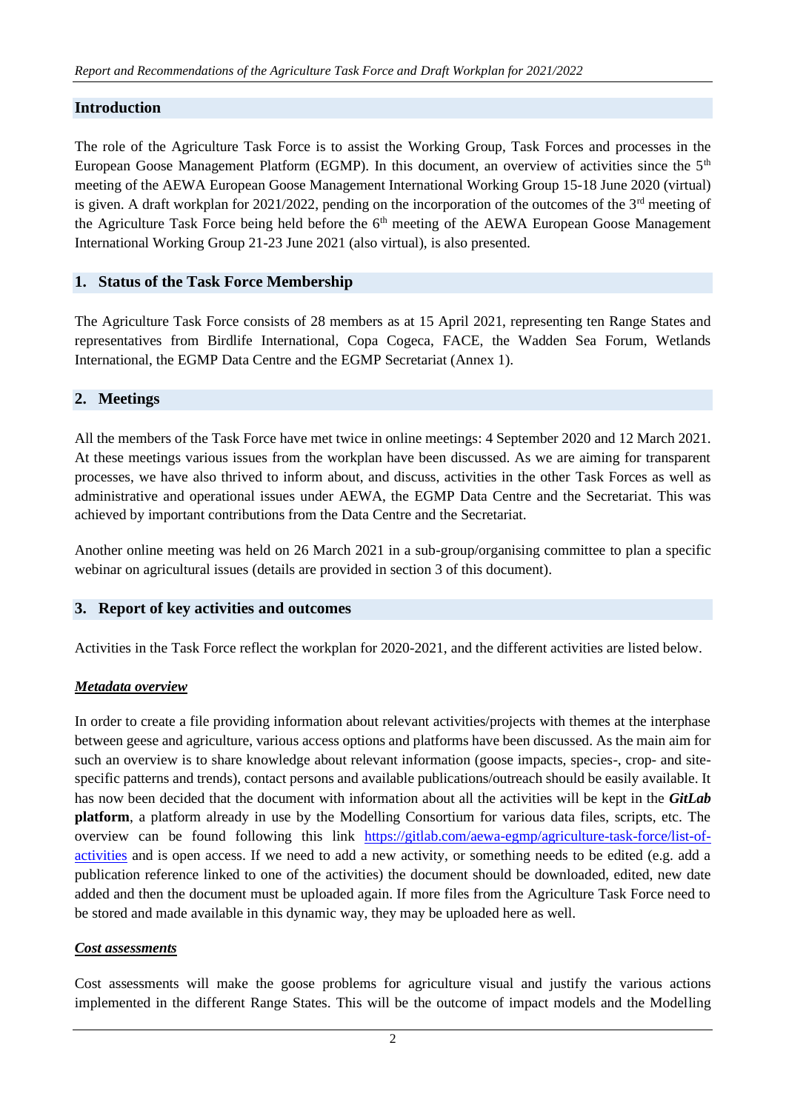### **Introduction**

The role of the Agriculture Task Force is to assist the Working Group, Task Forces and processes in the European Goose Management Platform (EGMP). In this document, an overview of activities since the 5<sup>th</sup> meeting of the AEWA European Goose Management International Working Group 15-18 June 2020 (virtual) is given. A draft workplan for 2021/2022, pending on the incorporation of the outcomes of the  $3<sup>rd</sup>$  meeting of the Agriculture Task Force being held before the  $6<sup>th</sup>$  meeting of the AEWA European Goose Management International Working Group 21-23 June 2021 (also virtual), is also presented.

### **1. Status of the Task Force Membership**

The Agriculture Task Force consists of 28 members as at 15 April 2021, representing ten Range States and representatives from Birdlife International, Copa Cogeca, FACE, the Wadden Sea Forum, Wetlands International, the EGMP Data Centre and the EGMP Secretariat (Annex 1).

### **2. Meetings**

All the members of the Task Force have met twice in online meetings: 4 September 2020 and 12 March 2021. At these meetings various issues from the workplan have been discussed. As we are aiming for transparent processes, we have also thrived to inform about, and discuss, activities in the other Task Forces as well as administrative and operational issues under AEWA, the EGMP Data Centre and the Secretariat. This was achieved by important contributions from the Data Centre and the Secretariat.

Another online meeting was held on 26 March 2021 in a sub-group/organising committee to plan a specific webinar on agricultural issues (details are provided in section 3 of this document).

#### **3. Report of key activities and outcomes**

Activities in the Task Force reflect the workplan for 2020-2021, and the different activities are listed below.

#### *Metadata overview*

In order to create a file providing information about relevant activities/projects with themes at the interphase between geese and agriculture, various access options and platforms have been discussed. As the main aim for such an overview is to share knowledge about relevant information (goose impacts, species-, crop- and sitespecific patterns and trends), contact persons and available publications/outreach should be easily available. It has now been decided that the document with information about all the activities will be kept in the *GitLab* **platform**, a platform already in use by the Modelling Consortium for various data files, scripts, etc. The overview can be found following this link [https://gitlab.com/aewa-egmp/agriculture-task-force/list-of](https://gitlab.com/aewa-egmp/agriculture-task-force/list-of-activities)[activities](https://gitlab.com/aewa-egmp/agriculture-task-force/list-of-activities) and is open access. If we need to add a new activity, or something needs to be edited (e.g. add a publication reference linked to one of the activities) the document should be downloaded, edited, new date added and then the document must be uploaded again. If more files from the Agriculture Task Force need to be stored and made available in this dynamic way, they may be uploaded here as well.

#### *Cost assessments*

Cost assessments will make the goose problems for agriculture visual and justify the various actions implemented in the different Range States. This will be the outcome of impact models and the Modelling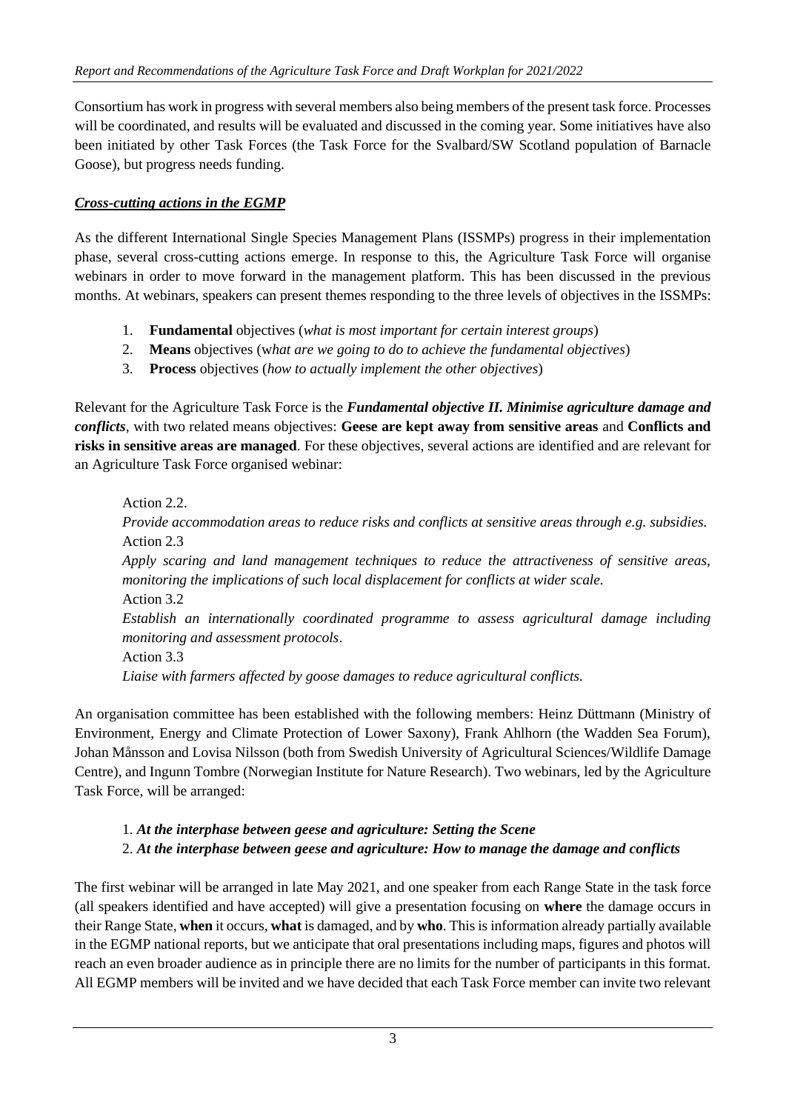Consortium has work in progress with several members also being members of the present task force. Processes will be coordinated, and results will be evaluated and discussed in the coming year. Some initiatives have also been initiated by other Task Forces (the Task Force for the Svalbard/SW Scotland population of Barnacle Goose), but progress needs funding.

### *Cross-cutting actions in the EGMP*

As the different International Single Species Management Plans (ISSMPs) progress in their implementation phase, several cross-cutting actions emerge. In response to this, the Agriculture Task Force will organise webinars in order to move forward in the management platform. This has been discussed in the previous months. At webinars, speakers can present themes responding to the three levels of objectives in the ISSMPs:

- 1. **Fundamental** objectives (*what is most important for certain interest groups*)
- 2. **Means** objectives (w*hat are we going to do to achieve the fundamental objectives*)
- 3. **Process** objectives (*how to actually implement the other objectives*)

Relevant for the Agriculture Task Force is the *Fundamental objective II. Minimise agriculture damage and conflicts*, with two related means objectives: **Geese are kept away from sensitive areas** and **Conflicts and risks in sensitive areas are managed**. For these objectives, several actions are identified and are relevant for an Agriculture Task Force organised webinar:

Action 2.2. *Provide accommodation areas to reduce risks and conflicts at sensitive areas through e.g. subsidies.* Action 2.3 *Apply scaring and land management techniques to reduce the attractiveness of sensitive areas, monitoring the implications of such local displacement for conflicts at wider scale.* Action 3.2 *Establish an internationally coordinated programme to assess agricultural damage including monitoring and assessment protocols*. Action 3.3 *Liaise with farmers affected by goose damages to reduce agricultural conflicts.*

An organisation committee has been established with the following members: Heinz Düttmann (Ministry of Environment, Energy and Climate Protection of Lower Saxony), Frank Ahlhorn (the Wadden Sea Forum), Johan Månsson and Lovisa Nilsson (both from Swedish University of Agricultural Sciences/Wildlife Damage Centre), and Ingunn Tombre (Norwegian Institute for Nature Research). Two webinars, led by the Agriculture Task Force, will be arranged:

## 1. *At the interphase between geese and agriculture: Setting the Scene* 2. *At the interphase between geese and agriculture: How to manage the damage and conflicts*

The first webinar will be arranged in late May 2021, and one speaker from each Range State in the task force (all speakers identified and have accepted) will give a presentation focusing on **where** the damage occurs in their Range State, **when** it occurs, **what** is damaged, and by **who**. This is information already partially available in the EGMP national reports, but we anticipate that oral presentations including maps, figures and photos will reach an even broader audience as in principle there are no limits for the number of participants in this format. All EGMP members will be invited and we have decided that each Task Force member can invite two relevant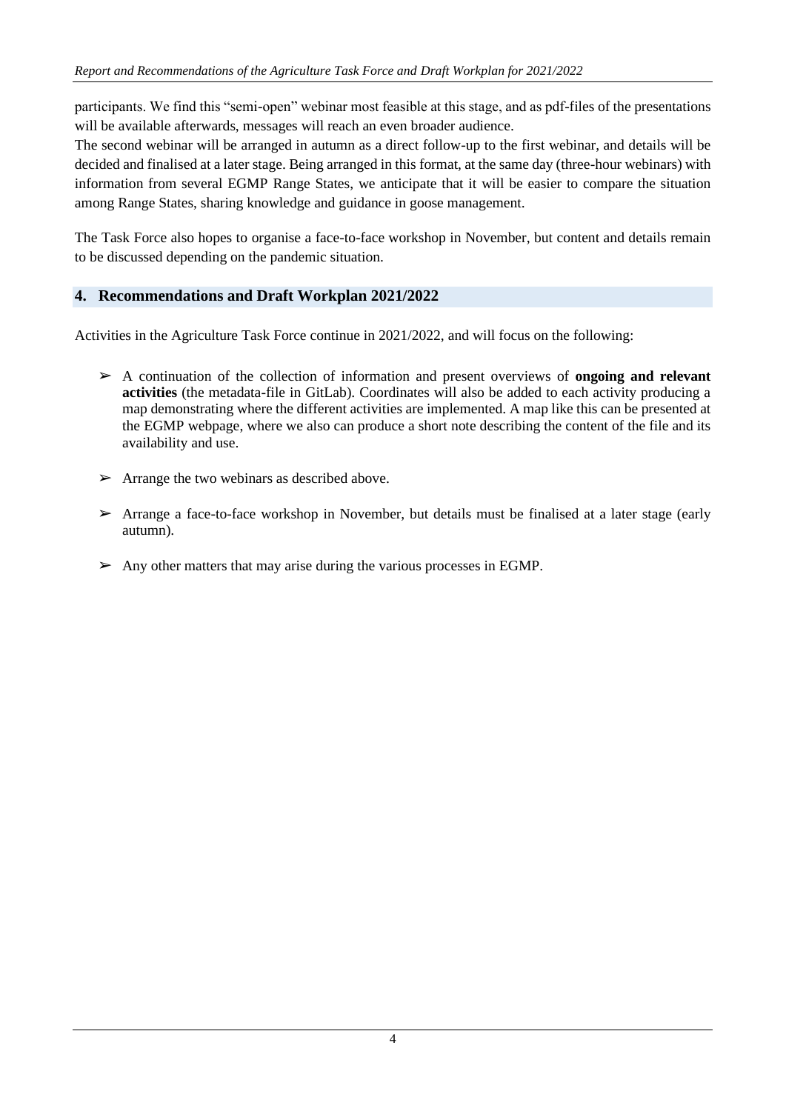participants. We find this "semi-open" webinar most feasible at this stage, and as pdf-files of the presentations will be available afterwards, messages will reach an even broader audience.

The second webinar will be arranged in autumn as a direct follow-up to the first webinar, and details will be decided and finalised at a later stage. Being arranged in this format, at the same day (three-hour webinars) with information from several EGMP Range States, we anticipate that it will be easier to compare the situation among Range States, sharing knowledge and guidance in goose management.

The Task Force also hopes to organise a face-to-face workshop in November, but content and details remain to be discussed depending on the pandemic situation.

### **4. Recommendations and Draft Workplan 2021/2022**

Activities in the Agriculture Task Force continue in 2021/2022, and will focus on the following:

- ➢ A continuation of the collection of information and present overviews of **ongoing and relevant activities** (the metadata-file in GitLab). Coordinates will also be added to each activity producing a map demonstrating where the different activities are implemented. A map like this can be presented at the EGMP webpage, where we also can produce a short note describing the content of the file and its availability and use.
- $\triangleright$  Arrange the two webinars as described above.
- $\triangleright$  Arrange a face-to-face workshop in November, but details must be finalised at a later stage (early autumn).
- $\triangleright$  Any other matters that may arise during the various processes in EGMP.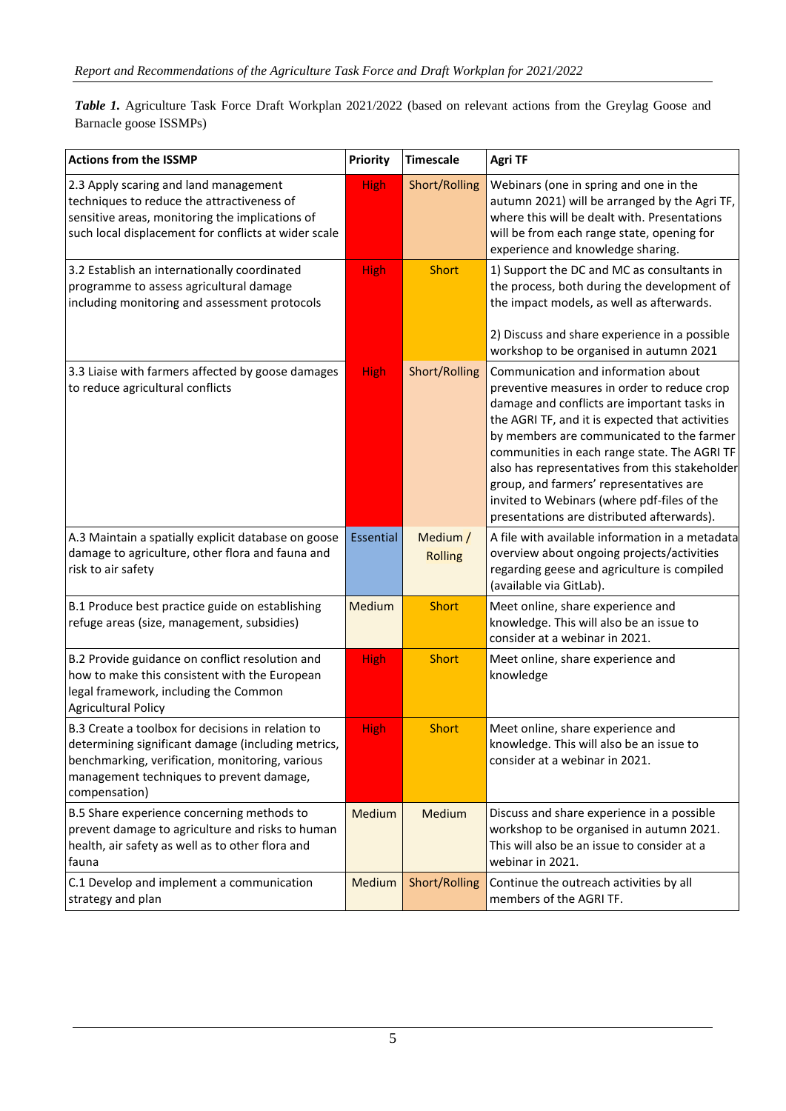*Table 1.* Agriculture Task Force Draft Workplan 2021/2022 (based on relevant actions from the Greylag Goose and Barnacle goose ISSMPs)

| <b>Actions from the ISSMP</b>                                                                                                                                                                                           | <b>Priority</b> | <b>Timescale</b>           | <b>Agri TF</b>                                                                                                                                                                                                                                                                                                                                                                                                                                                              |
|-------------------------------------------------------------------------------------------------------------------------------------------------------------------------------------------------------------------------|-----------------|----------------------------|-----------------------------------------------------------------------------------------------------------------------------------------------------------------------------------------------------------------------------------------------------------------------------------------------------------------------------------------------------------------------------------------------------------------------------------------------------------------------------|
| 2.3 Apply scaring and land management<br>techniques to reduce the attractiveness of<br>sensitive areas, monitoring the implications of<br>such local displacement for conflicts at wider scale                          | <b>High</b>     | Short/Rolling              | Webinars (one in spring and one in the<br>autumn 2021) will be arranged by the Agri TF,<br>where this will be dealt with. Presentations<br>will be from each range state, opening for<br>experience and knowledge sharing.                                                                                                                                                                                                                                                  |
| 3.2 Establish an internationally coordinated<br>programme to assess agricultural damage<br>including monitoring and assessment protocols                                                                                | <b>High</b>     | <b>Short</b>               | 1) Support the DC and MC as consultants in<br>the process, both during the development of<br>the impact models, as well as afterwards.<br>2) Discuss and share experience in a possible<br>workshop to be organised in autumn 2021                                                                                                                                                                                                                                          |
| 3.3 Liaise with farmers affected by goose damages<br>to reduce agricultural conflicts                                                                                                                                   | <b>High</b>     | Short/Rolling              | Communication and information about<br>preventive measures in order to reduce crop<br>damage and conflicts are important tasks in<br>the AGRI TF, and it is expected that activities<br>by members are communicated to the farmer<br>communities in each range state. The AGRI TF<br>also has representatives from this stakeholder<br>group, and farmers' representatives are<br>invited to Webinars (where pdf-files of the<br>presentations are distributed afterwards). |
| A.3 Maintain a spatially explicit database on goose<br>damage to agriculture, other flora and fauna and<br>risk to air safety                                                                                           | Essential       | Medium /<br><b>Rolling</b> | A file with available information in a metadata<br>overview about ongoing projects/activities<br>regarding geese and agriculture is compiled<br>(available via GitLab).                                                                                                                                                                                                                                                                                                     |
| B.1 Produce best practice guide on establishing<br>refuge areas (size, management, subsidies)                                                                                                                           | Medium          | <b>Short</b>               | Meet online, share experience and<br>knowledge. This will also be an issue to<br>consider at a webinar in 2021.                                                                                                                                                                                                                                                                                                                                                             |
| B.2 Provide guidance on conflict resolution and<br>how to make this consistent with the European<br>legal framework, including the Common<br><b>Agricultural Policy</b>                                                 | <b>High</b>     | <b>Short</b>               | Meet online, share experience and<br>knowledge                                                                                                                                                                                                                                                                                                                                                                                                                              |
| B.3 Create a toolbox for decisions in relation to<br>determining significant damage (including metrics,<br>benchmarking, verification, monitoring, various<br>management techniques to prevent damage,<br>compensation) | <b>High</b>     | <b>Short</b>               | Meet online, share experience and<br>knowledge. This will also be an issue to<br>consider at a webinar in 2021.                                                                                                                                                                                                                                                                                                                                                             |
| B.5 Share experience concerning methods to<br>prevent damage to agriculture and risks to human<br>health, air safety as well as to other flora and<br>fauna                                                             | Medium          | Medium                     | Discuss and share experience in a possible<br>workshop to be organised in autumn 2021.<br>This will also be an issue to consider at a<br>webinar in 2021.                                                                                                                                                                                                                                                                                                                   |
| C.1 Develop and implement a communication<br>strategy and plan                                                                                                                                                          | Medium          | Short/Rolling              | Continue the outreach activities by all<br>members of the AGRI TF.                                                                                                                                                                                                                                                                                                                                                                                                          |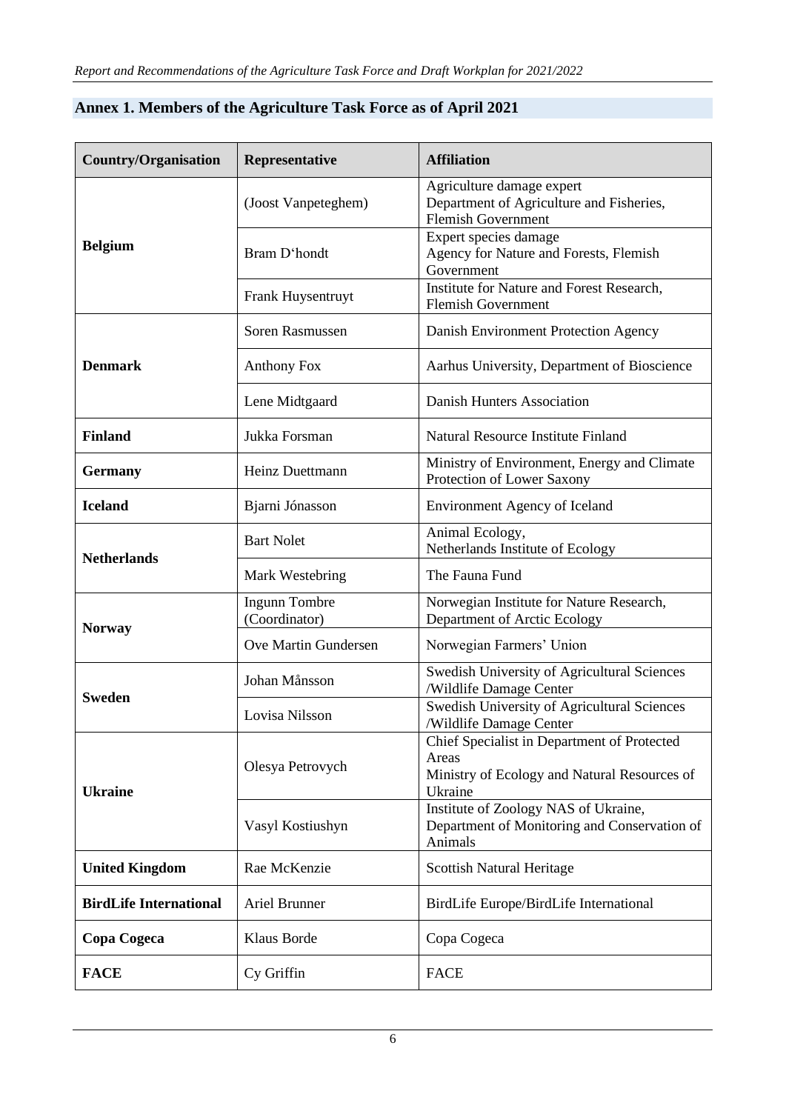| <b>Country/Organisation</b>   | Representative                 | <b>Affiliation</b>                                                                                              |  |
|-------------------------------|--------------------------------|-----------------------------------------------------------------------------------------------------------------|--|
| <b>Belgium</b>                | (Joost Vanpeteghem)            | Agriculture damage expert<br>Department of Agriculture and Fisheries,<br><b>Flemish Government</b>              |  |
|                               | Bram D'hondt                   | Expert species damage<br>Agency for Nature and Forests, Flemish<br>Government                                   |  |
|                               | Frank Huysentruyt              | Institute for Nature and Forest Research,<br><b>Flemish Government</b>                                          |  |
| <b>Denmark</b>                | Soren Rasmussen                | Danish Environment Protection Agency                                                                            |  |
|                               | <b>Anthony Fox</b>             | Aarhus University, Department of Bioscience                                                                     |  |
|                               | Lene Midtgaard                 | Danish Hunters Association                                                                                      |  |
| <b>Finland</b>                | Jukka Forsman                  | Natural Resource Institute Finland                                                                              |  |
| <b>Germany</b>                | Heinz Duettmann                | Ministry of Environment, Energy and Climate<br>Protection of Lower Saxony                                       |  |
| <b>Iceland</b>                | Bjarni Jónasson                | <b>Environment Agency of Iceland</b>                                                                            |  |
| <b>Netherlands</b>            | <b>Bart Nolet</b>              | Animal Ecology,<br>Netherlands Institute of Ecology                                                             |  |
|                               | Mark Westebring                | The Fauna Fund                                                                                                  |  |
| <b>Norway</b>                 | Ingunn Tombre<br>(Coordinator) | Norwegian Institute for Nature Research,<br>Department of Arctic Ecology                                        |  |
|                               | Ove Martin Gundersen           | Norwegian Farmers' Union                                                                                        |  |
| <b>Sweden</b>                 | Johan Månsson                  | Swedish University of Agricultural Sciences<br>/Wildlife Damage Center                                          |  |
|                               | Lovisa Nilsson                 | Swedish University of Agricultural Sciences<br>/Wildlife Damage Center                                          |  |
| <b>Ukraine</b>                | Olesya Petrovych               | Chief Specialist in Department of Protected<br>Areas<br>Ministry of Ecology and Natural Resources of<br>Ukraine |  |
|                               | Vasyl Kostiushyn               | Institute of Zoology NAS of Ukraine,<br>Department of Monitoring and Conservation of<br>Animals                 |  |
| <b>United Kingdom</b>         | Rae McKenzie                   | <b>Scottish Natural Heritage</b>                                                                                |  |
| <b>BirdLife International</b> | Ariel Brunner                  | BirdLife Europe/BirdLife International                                                                          |  |
| Copa Cogeca                   | <b>Klaus Borde</b>             | Copa Cogeca                                                                                                     |  |
| <b>FACE</b>                   | Cy Griffin                     | <b>FACE</b>                                                                                                     |  |

# **Annex 1. Members of the Agriculture Task Force as of April 2021**